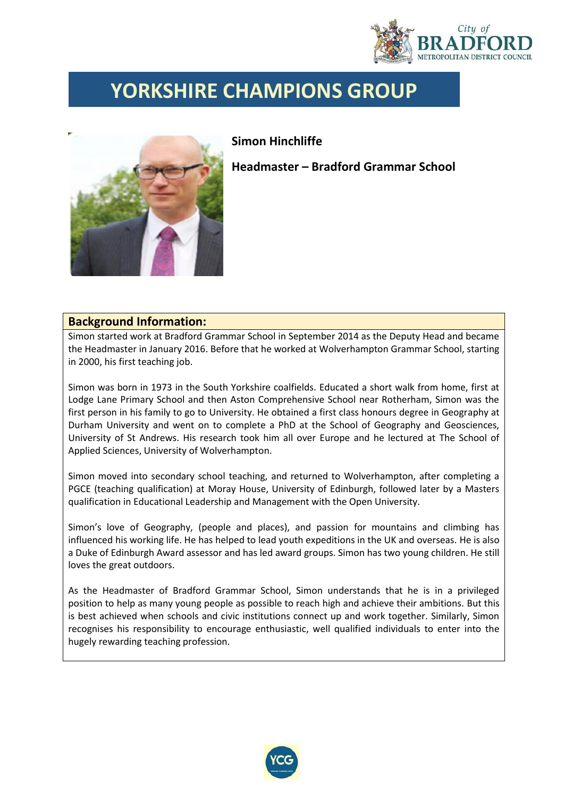

## **YORKSHIRE CHAMPIONS GROUP**



## **Simon Hinchliffe**

**Headmaster – Bradford Grammar School**

## **Background Information:**

Simon started work at Bradford Grammar School in September 2014 as the Deputy Head and became the Headmaster in January 2016. Before that he worked at Wolverhampton Grammar School, starting in 2000, his first teaching job.

Simon was born in 1973 in the South Yorkshire coalfields. Educated a short walk from home, first at Lodge Lane Primary School and then Aston Comprehensive School near Rotherham, Simon was the first person in his family to go to University. He obtained a first class honours degree in Geography at Durham University and went on to complete a PhD at the School of Geography and Geosciences, University of St Andrews. His research took him all over Europe and he lectured at The School of Applied Sciences, University of Wolverhampton.

Simon moved into secondary school teaching, and returned to Wolverhampton, after completing a PGCE (teaching qualification) at Moray House, University of Edinburgh, followed later by a Masters qualification in Educational Leadership and Management with the Open University.

Simon's love of Geography, (people and places), and passion for mountains and climbing has influenced his working life. He has helped to lead youth expeditions in the UK and overseas. He is also a Duke of Edinburgh Award assessor and has led award groups. Simon has two young children. He still loves the great outdoors.

As the Headmaster of Bradford Grammar School, Simon understands that he is in a privileged position to help as many young people as possible to reach high and achieve their ambitions. But this is best achieved when schools and civic institutions connect up and work together. Similarly, Simon recognises his responsibility to encourage enthusiastic, well qualified individuals to enter into the hugely rewarding teaching profession.